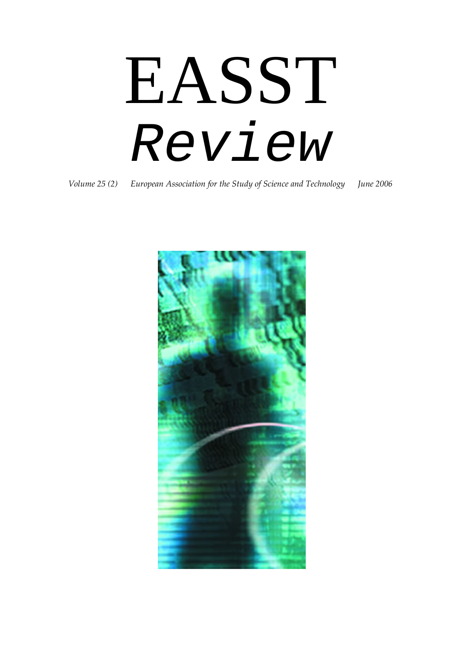EASST *Review* 

*Volume 25 (2) European Association for the Study of Science and Technology June 2006*

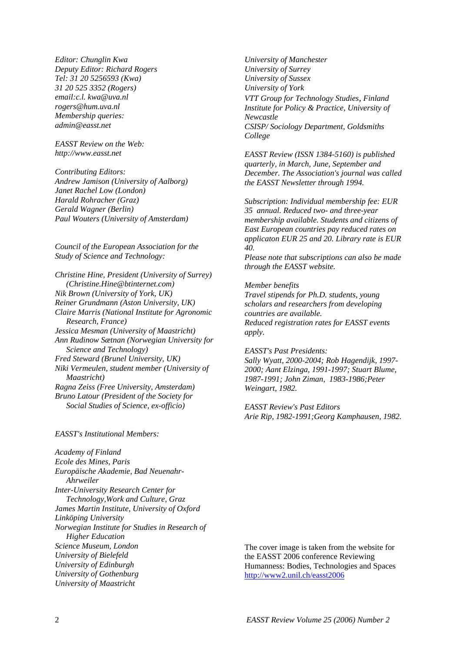*Editor: Chunglin Kwa Deputy Editor: Richard Rogers Tel: 31 20 5256593 (Kwa) 31 20 525 3352 (Rogers) email:c.l. kwa@uva.nl rogers@hum.uva.nl Membership queries: admin@easst.net* 

*EASST Review on the Web: http://www.easst.net* 

*Contributing Editors: Andrew Jamison (University of Aalborg) Janet Rachel Low (London) Harald Rohracher (Graz) Gerald Wagner (Berlin) Paul Wouters (University of Amsterdam)* 

*Council of the European Association for the Study of Science and Technology:* 

*Christine Hine, President (University of Surrey) (Christine.Hine@btinternet.com) Nik Brown (University of York, UK) Reiner Grundmann (Aston University, UK) Claire Marris (National Institute for Agronomic Research, France) Jessica Mesman (University of Maastricht) Ann Rudinow Sætnan (Norwegian University for Science and Technology) Fred Steward (Brunel University, UK) Niki Vermeulen, student member (University of Maastricht) Ragna Zeiss (Free University, Amsterdam) Bruno Latour (President of the Society for Social Studies of Science, ex-officio)* 

*EASST's Institutional Members:* 

*Academy of Finland Ecole des Mines, Paris Europäische Akademie, Bad Neuenahr- Ahrweiler Inter-University Research Center for Technology,Work and Culture, Graz James Martin Institute, University of Oxford Linköping University Norwegian Institute for Studies in Research of Higher Education Science Museum, London University of Bielefeld University of Edinburgh University of Gothenburg University of Maastricht* 

*University of Manchester University of Surrey University of Sussex University of York VTT Group for Technology Studies, Finland Institute for Policy & Practice, University of Newcastle CSISP/ Sociology Department, Goldsmiths College* 

*EASST Review (ISSN 1384-5160) is published quarterly, in March, June, September and December. The Association's journal was called the EASST Newsletter through 1994.* 

*Subscription: Individual membership fee: EUR 35 annual. Reduced two- and three-year membership available. Students and citizens of East European countries pay reduced rates on applicaton EUR 25 and 20. Library rate is EUR 40.* 

*Please note that subscriptions can also be made through the EASST website.* 

#### *Member benefits*

*Travel stipends for Ph.D. students, young scholars and researchers from developing countries are available. Reduced registration rates for EASST events apply.* 

*EASST's Past Presidents: Sally Wyatt, 2000-2004; Rob Hagendijk, 1997- 2000; Aant Elzinga, 1991-1997; Stuart Blume, 1987-1991; John Ziman, 1983-1986;Peter Weingart, 1982.* 

*EASST Review's Past Editors Arie Rip, 1982-1991;Georg Kamphausen, 1982.* 

The cover image is taken from the website for the EASST 2006 conference Reviewing Humanness: Bodies, Technologies and Spaces <http://www2.unil.ch/easst2006>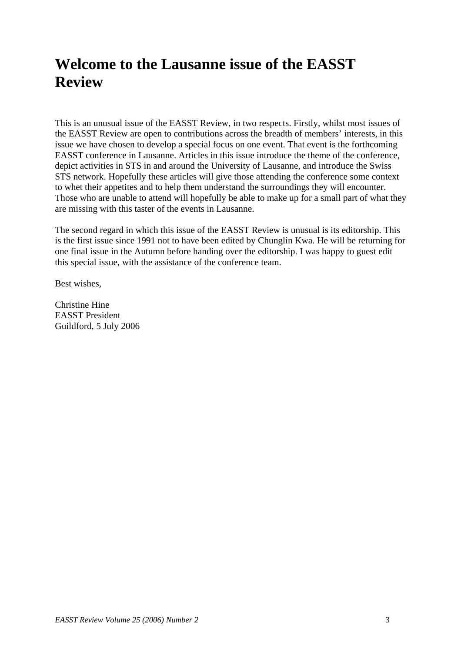# **Welcome to the Lausanne issue of the EASST Review**

This is an unusual issue of the EASST Review, in two respects. Firstly, whilst most issues of the EASST Review are open to contributions across the breadth of members' interests, in this issue we have chosen to develop a special focus on one event. That event is the forthcoming EASST conference in Lausanne. Articles in this issue introduce the theme of the conference, depict activities in STS in and around the University of Lausanne, and introduce the Swiss STS network. Hopefully these articles will give those attending the conference some context to whet their appetites and to help them understand the surroundings they will encounter. Those who are unable to attend will hopefully be able to make up for a small part of what they are missing with this taster of the events in Lausanne.

The second regard in which this issue of the EASST Review is unusual is its editorship. This is the first issue since 1991 not to have been edited by Chunglin Kwa. He will be returning for one final issue in the Autumn before handing over the editorship. I was happy to guest edit this special issue, with the assistance of the conference team.

Best wishes,

Christine Hine EASST President Guildford, 5 July 2006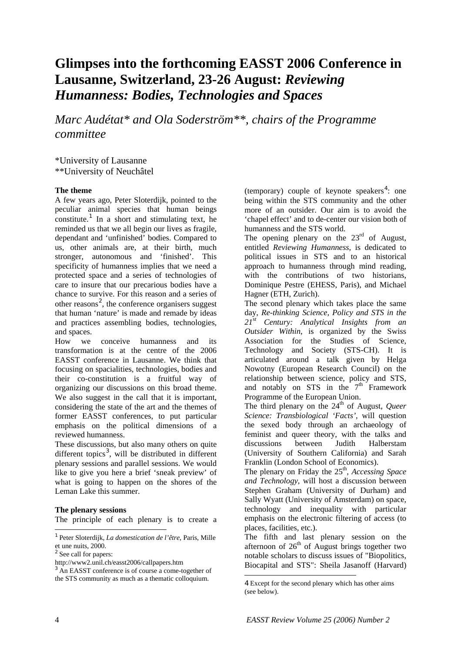### **Glimpses into the forthcoming EASST 2006 Conference in Lausanne, Switzerland, 23-26 August:** *Reviewing Humanness: Bodies, Technologies and Spaces*

*Marc Audétat\* and Ola Soderström\*\*, chairs of the Programme committee* 

\*University of Lausanne \*\*University of Neuchâtel

#### **The theme**

A few years ago, Peter Sloterdijk, pointed to the peculiar animal species that human beings constitute.<sup>[1](#page-3-0)</sup> In a short and stimulating text, he reminded us that we all begin our lives as fragile, dependant and 'unfinished' bodies. Compared to us, other animals are, at their birth, much stronger, autonomous and 'finished'. This specificity of humanness implies that we need a protected space and a series of technologies of care to insure that our precarious bodies have a chance to survive. For this reason and a series of other reasons<sup>[2](#page-3-1)</sup>, the conference organisers suggest that human 'nature' is made and remade by ideas and practices assembling bodies, technologies, and spaces.

How we conceive humanness and its transformation is at the centre of the 2006 EASST conference in Lausanne. We think that focusing on spacialities, technologies, bodies and their co-constitution is a fruitful way of organizing our discussions on this broad theme. We also suggest in the call that it is important, considering the state of the art and the themes of former EASST conferences, to put particular emphasis on the political dimensions of a reviewed humanness.

These discussions, but also many others on quite different topics<sup>[3](#page-3-2)</sup>, will be distributed in different plenary sessions and parallel sessions. We would like to give you here a brief 'sneak preview' of what is going to happen on the shores of the Leman Lake this summer.

#### **The plenary sessions**

The principle of each plenary is to create a

<span id="page-3-0"></span> $\overline{a}$ 1 Peter Sloterdijk, *La domestication de l'être*, Paris, Mille et une nuits, 2000.

<sup>2</sup> See call for papers:

<span id="page-3-3"></span><span id="page-3-2"></span><sup>3</sup> An EASST conference is of course a come-together of the STS community as much as a thematic colloquium.

(temporary) couple of keynote speakers<sup>[4](#page-3-3)</sup>: one being within the STS community and the other more of an outsider. Our aim is to avoid the 'chapel effect' and to de-center our vision both of humanness and the STS world.

The opening plenary on the  $23<sup>rd</sup>$  of August, entitled *Reviewing Humanness*, is dedicated to political issues in STS and to an historical approach to humanness through mind reading, with the contributions of two historians, Dominique Pestre (EHESS, Paris), and Michael Hagner (ETH, Zurich).

The second plenary which takes place the same day, *Re-thinking Science, Policy and STS in the 21st Century: Analytical Insights from an Outsider Within*, is organized by the Swiss Association for the Studies of Science, Technology and Society (STS-CH). It is articulated around a talk given by Helga Nowotny (European Research Council) on the relationship between science, policy and STS, and notably on STS in the  $7<sup>th</sup>$  Framework Programme of the European Union.

The third plenary on the  $24<sup>th</sup>$  of August, *Queer Science: Transbiological 'Facts'*, will question the sexed body through an archaeology of feminist and queer theory, with the talks and discussions between Judith Halberstam (University of Southern California) and Sarah Franklin (London School of Economics).

The plenary on Friday the 25<sup>th</sup>, *Accessing Space and Technology*, will host a discussion between Stephen Graham (University of Durham) and Sally Wyatt (University of Amsterdam) on space, technology and inequality with particular emphasis on the electronic filtering of access (to places, facilities, etc.).

The fifth and last plenary session on the afternoon of  $26<sup>th</sup>$  of August brings together two notable scholars to discuss issues of "Biopolitics, Biocapital and STS": Sheila Jasanoff (Harvard)

<span id="page-3-1"></span>http://www2.unil.ch/easst2006/callpapers.htm

<sup>4</sup> Except for the second plenary which has other aims (see below).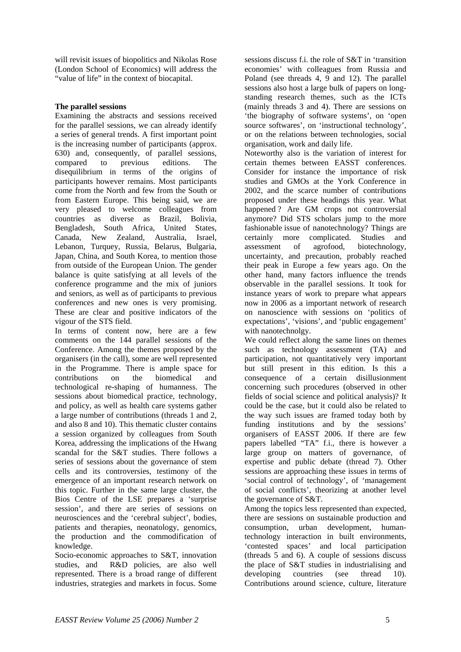will revisit issues of biopolitics and Nikolas Rose (London School of Economics) will address the "value of life" in the context of biocapital.

#### **The parallel sessions**

Examining the abstracts and sessions received for the parallel sessions, we can already identify a series of general trends. A first important point is the increasing number of participants (approx. 630) and, consequently, of parallel sessions, compared to previous editions. The disequilibrium in terms of the origins of participants however remains. Most participants come from the North and few from the South or from Eastern Europe. This being said, we are very pleased to welcome colleagues from countries as diverse as Brazil, Bolivia, Bengladesh, South Africa, United States, Canada, New Zealand, Australia, Israel, Lebanon, Turquey, Russia, Belarus, Bulgaria, Japan, China, and South Korea, to mention those from outside of the European Union. The gender balance is quite satisfying at all levels of the conference programme and the mix of juniors and seniors, as well as of participants to previous conferences and new ones is very promising. These are clear and positive indicators of the vigour of the STS field.

In terms of content now, here are a few comments on the 144 parallel sessions of the Conference. Among the themes proposed by the organisers (in the call), some are well represented in the Programme. There is ample space for contributions on the biomedical and technological re-shaping of humanness. The sessions about biomedical practice, technology, and policy, as well as health care systems gather a large number of contributions (threads 1 and 2, and also 8 and 10). This thematic cluster contains a session organized by colleagues from South Korea, addressing the implications of the Hwang scandal for the S&T studies. There follows a series of sessions about the governance of stem cells and its controversies, testimony of the emergence of an important research network on this topic. Further in the same large cluster, the Bios Centre of the LSE prepares a 'surprise session', and there are series of sessions on neurosciences and the 'cerebral subject', bodies, patients and therapies, neonatology, genomics, the production and the commodification of knowledge.

Socio-economic approaches to S&T, innovation studies, and R&D policies, are also well represented. There is a broad range of different industries, strategies and markets in focus. Some

sessions discuss f.i. the role of S&T in 'transition economies' with colleagues from Russia and Poland (see threads 4, 9 and 12). The parallel sessions also host a large bulk of papers on longstanding research themes, such as the ICTs (mainly threads 3 and 4). There are sessions on 'the biography of software systems', on 'open source softwares', on 'instructional technology', or on the relations between technologies, social organisation, work and daily life.

Noteworthy also is the variation of interest for certain themes between EASST conferences. Consider for instance the importance of risk studies and GMOs at the York Conference in 2002, and the scarce number of contributions proposed under these headings this year. What happened ? Are GM crops not controversial anymore? Did STS scholars jump to the more fashionable issue of nanotechnology? Things are certainly more complicated. Studies and assessment of agrofood, biotechnology, uncertainty, and precaution, probably reached their peak in Europe a few years ago. On the other hand, many factors influence the trends observable in the parallel sessions. It took for instance years of work to prepare what appears now in 2006 as a important network of research on nanoscience with sessions on 'politics of expectations', 'visions', and 'public engagement' with nanotechnolgy.

We could reflect along the same lines on themes such as technology assessment (TA) and participation, not quantitatively very important but still present in this edition. Is this a consequence of a certain disillusionment concerning such procedures (observed in other fields of social science and political analysis)? It could be the case, but it could also be related to the way such issues are framed today both by funding institutions and by the sessions' organisers of EASST 2006. If there are few papers labelled "TA" f.i., there is however a large group on matters of governance, of expertise and public debate (thread 7). Other sessions are approaching these issues in terms of 'social control of technology', of 'management of social conflicts', theorizing at another level the governance of S&T.

Among the topics less represented than expected, there are sessions on sustainable production and consumption, urban development, humantechnology interaction in built environments, 'contested spaces' and local participation (threads 5 and 6). A couple of sessions discuss the place of S&T studies in industrialising and developing countries (see thread 10). Contributions around science, culture, literature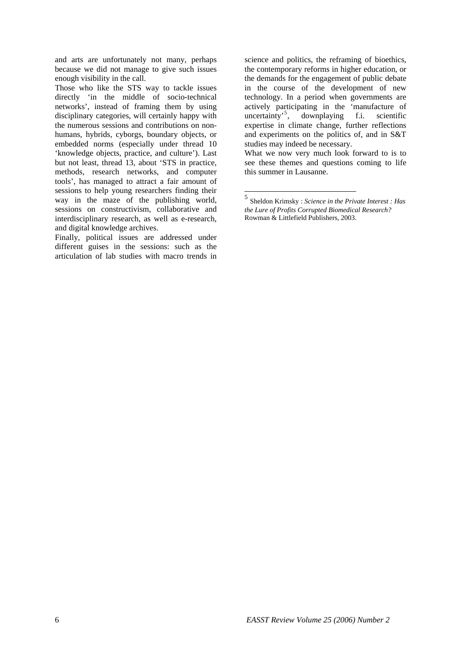and arts are unfortunately not many, perhaps because we did not manage to give such issues enough visibility in the call.

Those who like the STS way to tackle issues directly 'in the middle of socio-technical networks', instead of framing them by using disciplinary categories, will certainly happy with the numerous sessions and contributions on nonhumans, hybrids, cyborgs, boundary objects, or embedded norms (especially under thread 10 'knowledge objects, practice, and culture'). Last but not least, thread 13, about 'STS in practice, methods, research networks, and computer tools', has managed to attract a fair amount of sessions to help young researchers finding their way in the maze of the publishing world, sessions on constructivism, collaborative and interdisciplinary research, as well as e-research, and digital knowledge archives.

<span id="page-5-0"></span>Finally, political issues are addressed under different guises in the sessions: such as the articulation of lab studies with macro trends in

science and politics, the reframing of bioethics, the contemporary reforms in higher education, or the demands for the engagement of public debate in the course of the development of new technology. In a period when governments are actively participating in the 'manufacture of uncertainty'<sup>[5](#page-5-0)</sup>, downplaying f.i. scientific expertise in climate change, further reflections and experiments on the politics of, and in S&T studies may indeed be necessary.

What we now very much look forward to is to see these themes and questions coming to life this summer in Lausanne.

<sup>5</sup> Sheldon Krimsky : *Science in the Private Interest : Has the Lure of Profits Corrupted Biomedical Research?* Rowman & Littlefield Publishers, 2003.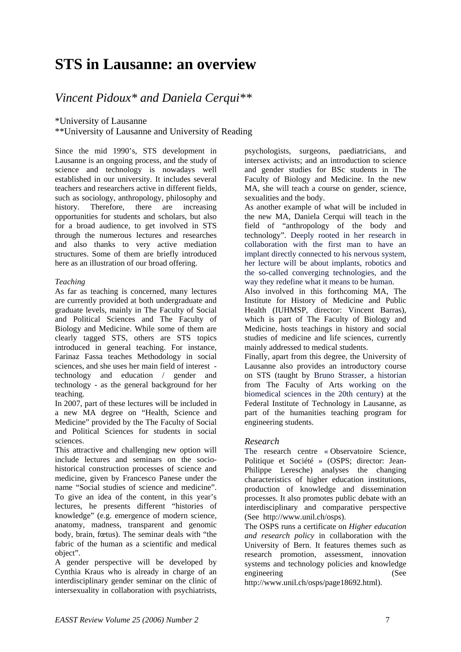# **STS in Lausanne: an overview**

### *Vincent Pidoux\* and Daniela Cerqui\*\**

\*University of Lausanne

\*\*University of Lausanne and University of Reading

Since the mid 1990's, STS development in Lausanne is an ongoing process, and the study of science and technology is nowadays well established in our university. It includes several teachers and researchers active in different fields, such as sociology, anthropology, philosophy and history. Therefore, there are increasing opportunities for students and scholars, but also for a broad audience, to get involved in STS through the numerous lectures and researches and also thanks to very active mediation structures. Some of them are briefly introduced here as an illustration of our broad offering.

#### *Teaching*

As far as teaching is concerned, many lectures are currently provided at both undergraduate and graduate levels, mainly in The Faculty of Social and Political Sciences and The Faculty of Biology and Medicine. While some of them are clearly tagged STS, others are STS topics introduced in general teaching. For instance, Farinaz Fassa teaches Methodology in social sciences, and she uses her main field of interest technology and education / gender and technology - as the general background for her teaching.

In 2007, part of these lectures will be included in a new MA degree on "Health, Science and Medicine" provided by the The Faculty of Social and Political Sciences for students in social sciences.

This attractive and challenging new option will include lectures and seminars on the sociohistorical construction processes of science and medicine, given by Francesco Panese under the name "Social studies of science and medicine". To give an idea of the content, in this year's lectures, he presents different "histories of knowledge" (e.g. emergence of modern science, anatomy, madness, transparent and genomic body, brain, fœtus). The seminar deals with "the fabric of the human as a scientific and medical object".

A gender perspective will be developed by Cynthia Kraus who is already in charge of an interdisciplinary gender seminar on the clinic of intersexuality in collaboration with psychiatrists,

psychologists, surgeons, paediatricians, and intersex activists; and an introduction to science and gender studies for BSc students in The Faculty of Biology and Medicine. In the new MA, she will teach a course on gender, science, sexualities and the body.

As another example of what will be included in the new MA, Daniela Cerqui will teach in the field of "anthropology of the body and technology". Deeply rooted in her research in collaboration with the first man to have an implant directly connected to his nervous system, her lecture will be about implants, robotics and the so-called converging technologies, and the way they redefine what it means to be human.

Also involved in this forthcoming MA, The Institute for History of Medicine and Public Health (IUHMSP, director: Vincent Barras), which is part of The Faculty of Biology and Medicine, hosts teachings in history and social studies of medicine and life sciences, currently mainly addressed to medical students.

Finally, apart from this degree, the University of Lausanne also provides an introductory course on STS (taught by Bruno Strasser, a historian from The Faculty of Arts working on the biomedical sciences in the 20th century) at the Federal Institute of Technology in Lausanne, as part of the humanities teaching program for engineering students.

#### *Research*

The research centre « Observatoire Science, Politique et Société » (OSPS; director: Jean-Philippe Leresche) analyses the changing characteristics of higher education institutions, production of knowledge and dissemination processes. It also promotes public debate with an interdisciplinary and comparative perspective (See http://www.unil.ch/osps).

The OSPS runs a certificate on *Higher education and research policy* in collaboration with the University of Bern. It features themes such as research promotion, assessment, innovation systems and technology policies and knowledge engineering (See

http://www.unil.ch/osps/page18692.html).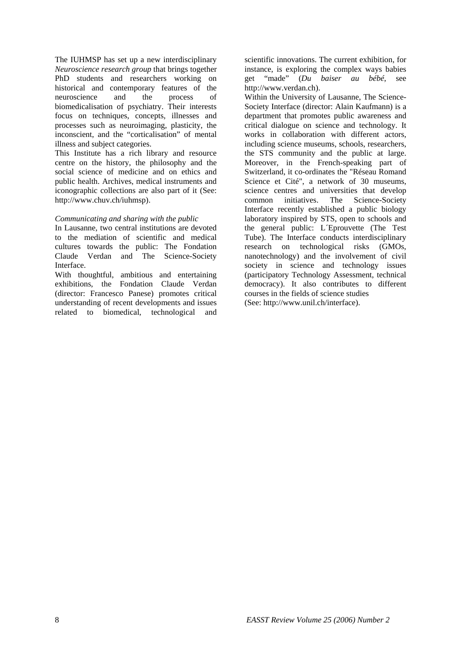The IUHMSP has set up a new interdisciplinary *Neuroscience research group* that brings together PhD students and researchers working on historical and contemporary features of the neuroscience and the process of biomedicalisation of psychiatry. Their interests focus on techniques, concepts, illnesses and processes such as neuroimaging, plasticity, the inconscient, and the "corticalisation" of mental illness and subject categories.

This Institute has a rich library and resource centre on the history, the philosophy and the social science of medicine and on ethics and public health. Archives, medical instruments and iconographic collections are also part of it (See: http://www.chuv.ch/iuhmsp).

#### *Communicating and sharing with the public*

In Lausanne, two central institutions are devoted to the mediation of scientific and medical cultures towards the public: The Fondation Claude Verdan and The Science-Society Interface.

With thoughtful, ambitious and entertaining exhibitions, the Fondation Claude Verdan (director: Francesco Panese) promotes critical understanding of recent developments and issues related to biomedical, technological and

scientific innovations. The current exhibition, for instance, is exploring the complex ways babies get "made" (*Du baiser au bébé*, see http://www.verdan.ch).

Within the University of Lausanne, The Science-Society Interface (director: Alain Kaufmann) is a department that promotes public awareness and critical dialogue on science and technology. It works in collaboration with different actors. including science museums, schools, researchers, the STS community and the public at large. Moreover, in the French-speaking part of Switzerland, it co-ordinates the "Réseau Romand Science et Cité", a network of 30 museums, science centres and universities that develop common initiatives. The Science-Society Interface recently established a public biology laboratory inspired by STS, open to schools and the general public: L´Eprouvette (The Test Tube). The Interface conducts interdisciplinary research on technological risks (GMOs, nanotechnology) and the involvement of civil society in science and technology issues (participatory Technology Assessment, technical democracy). It also contributes to different courses in the fields of science studies (See: http://www.unil.ch/interface).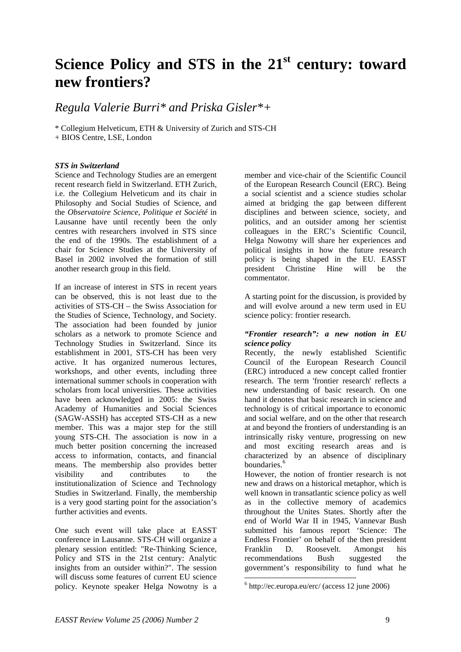# **Science Policy and STS in the 21st century: toward new frontiers?**

*Regula Valerie Burri\* and Priska Gisler\*+* 

\* Collegium Helveticum, ETH & University of Zurich and STS-CH + BIOS Centre, LSE, London

#### *STS in Switzerland*

Science and Technology Studies are an emergent recent research field in Switzerland. ETH Zurich, i.e. the Collegium Helveticum and its chair in Philosophy and Social Studies of Science, and the *Observatoire Science, Politique et Société* in Lausanne have until recently been the only centres with researchers involved in STS since the end of the 1990s. The establishment of a chair for Science Studies at the University of Basel in 2002 involved the formation of still another research group in this field.

If an increase of interest in STS in recent years can be observed, this is not least due to the activities of STS-CH – the Swiss Association for the Studies of Science, Technology, and Society. The association had been founded by junior scholars as a network to promote Science and Technology Studies in Switzerland. Since its establishment in 2001, STS-CH has been very active. It has organized numerous lectures, workshops, and other events, including three international summer schools in cooperation with scholars from local universities. These activities have been acknowledged in 2005: the Swiss Academy of Humanities and Social Sciences (SAGW-ASSH) has accepted STS-CH as a new member. This was a major step for the still young STS-CH. The association is now in a much better position concerning the increased access to information, contacts, and financial means. The membership also provides better visibility and contributes to the institutionalization of Science and Technology Studies in Switzerland. Finally, the membership is a very good starting point for the association's further activities and events.

<span id="page-8-0"></span>One such event will take place at EASST conference in Lausanne. STS-CH will organize a plenary session entitled: "Re-Thinking Science, Policy and STS in the 21st century: Analytic insights from an outsider within?". The session will discuss some features of current EU science policy. Keynote speaker Helga Nowotny is a

member and vice-chair of the Scientific Council of the European Research Council (ERC). Being a social scientist and a science studies scholar aimed at bridging the gap between different disciplines and between science, society, and politics, and an outsider among her scientist colleagues in the ERC's Scientific Council, Helga Nowotny will share her experiences and political insights in how the future research policy is being shaped in the EU. EASST president Christine Hine will be the commentator.

A starting point for the discussion, is provided by and will evolve around a new term used in EU science policy: frontier research.

#### *"Frontier research": a new notion in EU science policy*

Recently, the newly established Scientific Council of the European Research Council (ERC) introduced a new concept called frontier research. The term 'frontier research' reflects a new understanding of basic research. On one hand it denotes that basic research in science and technology is of critical importance to economic and social welfare, and on the other that research at and beyond the frontiers of understanding is an intrinsically risky venture, progressing on new and most exciting research areas and is characterized by an absence of disciplinary boundaries.<sup>[6](#page-8-0)</sup>

However, the notion of frontier research is not new and draws on a historical metaphor, which is well known in transatlantic science policy as well as in the collective memory of academics throughout the Unites States. Shortly after the end of World War II in 1945, Vannevar Bush submitted his famous report 'Science: The Endless Frontier' on behalf of the then president Franklin D. Roosevelt. Amongst his recommendations Bush suggested the government's responsibility to fund what he

<sup>6</sup> http://ec.europa.eu/erc/ (access 12 june 2006)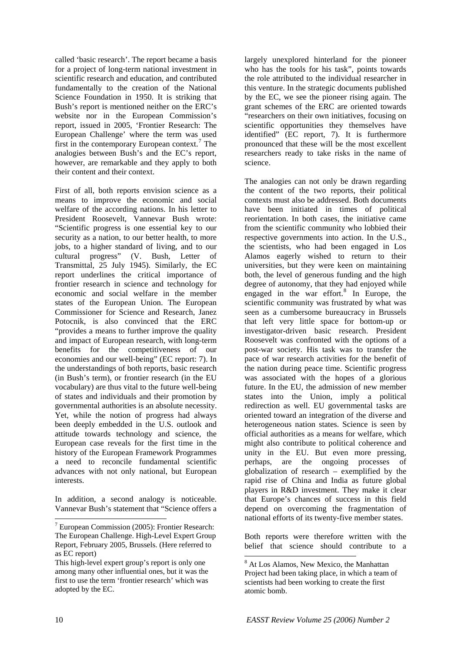called 'basic research'. The report became a basis for a project of long-term national investment in scientific research and education, and contributed fundamentally to the creation of the National Science Foundation in 1950. It is striking that Bush's report is mentioned neither on the ERC's website nor in the European Commission's report, issued in 2005, 'Frontier Research: The European Challenge' where the term was used first in the contemporary European context.<sup>[7](#page-9-0)</sup> The analogies between Bush's and the EC's report, however, are remarkable and they apply to both their content and their context.

First of all, both reports envision science as a means to improve the economic and social welfare of the according nations. In his letter to President Roosevelt, Vannevar Bush wrote: "Scientific progress is one essential key to our security as a nation, to our better health, to more jobs, to a higher standard of living, and to our cultural progress" (V. Bush, Letter of Transmittal, 25 July 1945). Similarly, the EC report underlines the critical importance of frontier research in science and technology for economic and social welfare in the member states of the European Union. The European Commissioner for Science and Research, Janez Potocnik, is also convinced that the ERC "provides a means to further improve the quality and impact of European research, with long-term benefits for the competitiveness of our economies and our well-being" (EC report: 7). In the understandings of both reports, basic research (in Bush's term), or frontier research (in the EU vocabulary) are thus vital to the future well-being of states and individuals and their promotion by governmental authorities is an absolute necessity. Yet, while the notion of progress had always been deeply embedded in the U.S. outlook and attitude towards technology and science, the European case reveals for the first time in the history of the European Framework Programmes a need to reconcile fundamental scientific advances with not only national, but European interests.

In addition, a second analogy is noticeable. Vannevar Bush's statement that "Science offers a largely unexplored hinterland for the pioneer who has the tools for his task", points towards the role attributed to the individual researcher in this venture. In the strategic documents published by the EC, we see the pioneer rising again. The grant schemes of the ERC are oriented towards "researchers on their own initiatives, focusing on scientific opportunities they themselves have identified" (EC report, 7). It is furthermore pronounced that these will be the most excellent researchers ready to take risks in the name of science.

The analogies can not only be drawn regarding the content of the two reports, their political contexts must also be addressed. Both documents have been initiated in times of political reorientation. In both cases, the initiative came from the scientific community who lobbied their respective governments into action. In the U.S., the scientists, who had been engaged in Los Alamos eagerly wished to return to their universities, but they were keen on maintaining both, the level of generous funding and the high degree of autonomy, that they had enjoyed while engaged in the war effort. $8$  In Europe, the scientific community was frustrated by what was seen as a cumbersome bureaucracy in Brussels that left very little space for bottom-up or investigator-driven basic research. President Roosevelt was confronted with the options of a post-war society. His task was to transfer the pace of war research activities for the benefit of the nation during peace time. Scientific progress was associated with the hopes of a glorious future. In the EU, the admission of new member states into the Union, imply a political redirection as well. EU governmental tasks are oriented toward an integration of the diverse and heterogeneous nation states. Science is seen by official authorities as a means for welfare, which might also contribute to political coherence and unity in the EU. But even more pressing, perhaps, are the ongoing processes of globalization of research – exemplified by the rapid rise of China and India as future global players in R&D investment. They make it clear that Europe's chances of success in this field depend on overcoming the fragmentation of national efforts of its twenty-five member states.

Both reports were therefore written with the belief that science should contribute to a

<span id="page-9-0"></span><sup>7</sup> European Commission (2005): Frontier Research: The European Challenge. High-Level Expert Group Report, February 2005, Brussels. (Here referred to as EC report)

<span id="page-9-1"></span>This high-level expert group's report is only one among many other influential ones, but it was the first to use the term 'frontier research' which was adopted by the EC.

 8 At Los Alamos, New Mexico, the Manhattan Project had been taking place, in which a team of scientists had been working to create the first atomic bomb.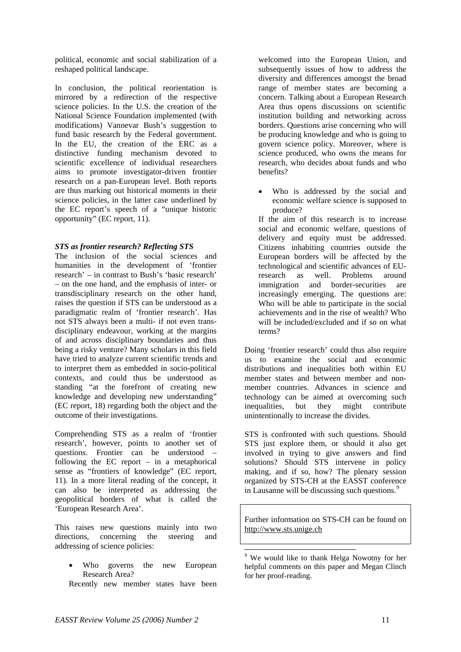political, economic and social stabilization of a reshaped political landscape.

In conclusion, the political reorientation is mirrored by a redirection of the respective science policies. In the U.S. the creation of the National Science Foundation implemented (with modifications) Vannevar Bush's suggestion to fund basic research by the Federal government. In the EU, the creation of the ERC as a distinctive funding mechanism devoted to scientific excellence of individual researchers aims to promote investigator-driven frontier research on a pan-European level. Both reports are thus marking out historical moments in their science policies, in the latter case underlined by the EC report's speech of a "unique historic opportunity" (EC report, 11).

#### *STS as frontier research? Reflecting STS*

The inclusion of the social sciences and humanities in the development of 'frontier research' – in contrast to Bush's 'basic research' – on the one hand, and the emphasis of inter- or transdisciplinary research on the other hand, raises the question if STS can be understood as a paradigmatic realm of 'frontier research'. Has not STS always been a multi- if not even transdisciplinary endeavour, working at the margins of and across disciplinary boundaries and thus being a risky venture? Many scholars in this field have tried to analyze current scientific trends and to interpret them as embedded in socio-political contexts, and could thus be understood as standing "at the forefront of creating new knowledge and developing new understanding" (EC report, 18) regarding both the object and the outcome of their investigations.

Comprehending STS as a realm of 'frontier research', however, points to another set of questions. Frontier can be understood – following the EC report – in a metaphorical sense as "frontiers of knowledge" (EC report, 11). In a more literal reading of the concept, it can also be interpreted as addressing the geopolitical borders of what is called the 'European Research Area'.

<span id="page-10-0"></span>This raises new questions mainly into two directions, concerning the steering and addressing of science policies:

Who governs the new European Research Area?

Recently new member states have been

welcomed into the European Union, and subsequently issues of how to address the diversity and differences amongst the broad range of member states are becoming a concern. Talking about a European Research Area thus opens discussions on scientific institution building and networking across borders. Questions arise concerning who will be producing knowledge and who is going to govern science policy. Moreover, where is science produced, who owns the means for research, who decides about funds and who benefits?

Who is addressed by the social and economic welfare science is supposed to produce?

If the aim of this research is to increase social and economic welfare, questions of delivery and equity must be addressed. Citizens inhabiting countries outside the European borders will be affected by the technological and scientific advances of EUresearch as well. Problems around immigration and border-securities are increasingly emerging. The questions are: Who will be able to participate in the social achievements and in the rise of wealth? Who will be included/excluded and if so on what terms?

Doing 'frontier research' could thus also require us to examine the social and economic distributions and inequalities both within EU member states and between member and nonmember countries. Advances in science and technology can be aimed at overcoming such inequalities, but they might contribute unintentionally to increase the divides.

STS is confronted with such questions. Should STS just explore them, or should it also get involved in trying to give answers and find solutions? Should STS intervene in policy making, and if so, how? The plenary session organized by STS-CH at the EASST conference in Lausanne will be discussing such questions.<sup>[9](#page-10-0)</sup>

Further information on STS-CH can be found on [http://www.sts.unige.ch](http://www.sts.unige.ch/)

<sup>&</sup>lt;sup>9</sup> We would like to thank Helga Nowotny for her helpful comments on this paper and Megan Clinch for her proof-reading.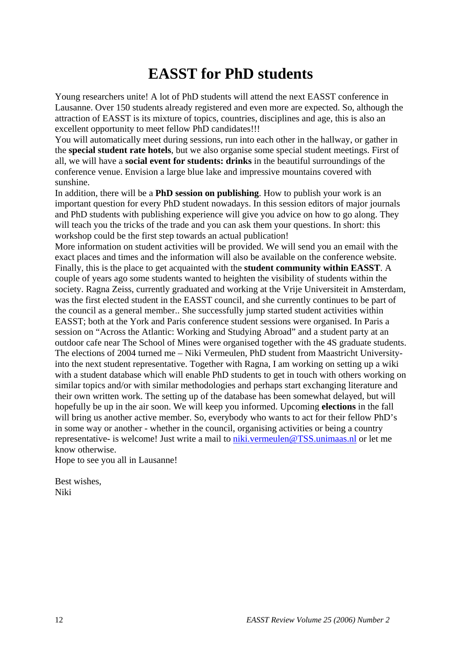# **EASST for PhD students**

Young researchers unite! A lot of PhD students will attend the next EASST conference in Lausanne. Over 150 students already registered and even more are expected. So, although the attraction of EASST is its mixture of topics, countries, disciplines and age, this is also an excellent opportunity to meet fellow PhD candidates!!!

You will automatically meet during sessions, run into each other in the hallway, or gather in the **special student rate hotels**, but we also organise some special student meetings. First of all, we will have a **social event for students: drinks** in the beautiful surroundings of the conference venue. Envision a large blue lake and impressive mountains covered with sunshine.

In addition, there will be a **PhD session on publishing**. How to publish your work is an important question for every PhD student nowadays. In this session editors of major journals and PhD students with publishing experience will give you advice on how to go along. They will teach you the tricks of the trade and you can ask them your questions. In short: this workshop could be the first step towards an actual publication!

More information on student activities will be provided. We will send you an email with the exact places and times and the information will also be available on the conference website. Finally, this is the place to get acquainted with the **student community within EASST**. A couple of years ago some students wanted to heighten the visibility of students within the society. Ragna Zeiss, currently graduated and working at the Vrije Universiteit in Amsterdam, was the first elected student in the EASST council, and she currently continues to be part of the council as a general member.. She successfully jump started student activities within EASST; both at the York and Paris conference student sessions were organised. In Paris a session on "Across the Atlantic: Working and Studying Abroad" and a student party at an outdoor cafe near The School of Mines were organised together with the 4S graduate students. The elections of 2004 turned me – Niki Vermeulen, PhD student from Maastricht Universityinto the next student representative. Together with Ragna, I am working on setting up a wiki with a student database which will enable PhD students to get in touch with others working on similar topics and/or with similar methodologies and perhaps start exchanging literature and their own written work. The setting up of the database has been somewhat delayed, but will hopefully be up in the air soon. We will keep you informed. Upcoming **elections** in the fall will bring us another active member. So, everybody who wants to act for their fellow PhD's in some way or another - whether in the council, organising activities or being a country representative- is welcome! Just write a mail to [niki.vermeulen@TSS.unimaas.nl](mailto:niki.vermeulen@TSS.unimaas.nl) or let me know otherwise.

Hope to see you all in Lausanne!

Best wishes, Niki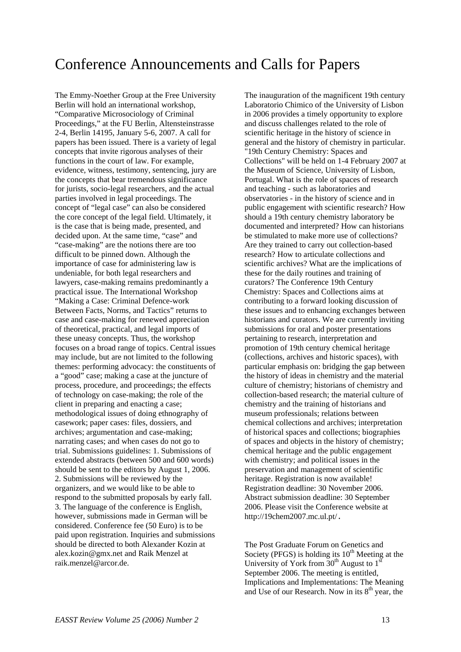## Conference Announcements and Calls for Papers

The Emmy-Noether Group at the Free University Berlin will hold an international workshop, "Comparative Microsociology of Criminal Proceedings," at the FU Berlin, Altensteinstrasse 2-4, Berlin 14195, January 5-6, 2007. A call for papers has been issued. There is a variety of legal concepts that invite rigorous analyses of their functions in the court of law. For example, evidence, witness, testimony, sentencing, jury are the concepts that bear tremendous significance for jurists, socio-legal researchers, and the actual parties involved in legal proceedings. The concept of "legal case" can also be considered the core concept of the legal field. Ultimately, it is the case that is being made, presented, and decided upon. At the same time, "case" and "case-making" are the notions there are too difficult to be pinned down. Although the importance of case for administering law is undeniable, for both legal researchers and lawyers, case-making remains predominantly a practical issue. The International Workshop "Making a Case: Criminal Defence-work Between Facts, Norms, and Tactics" returns to case and case-making for renewed appreciation of theoretical, practical, and legal imports of these uneasy concepts. Thus, the workshop focuses on a broad range of topics. Central issues may include, but are not limited to the following themes: performing advocacy: the constituents of a "good" case; making a case at the juncture of process, procedure, and proceedings; the effects of technology on case-making; the role of the client in preparing and enacting a case; methodological issues of doing ethnography of casework; paper cases: files, dossiers, and archives; argumentation and case-making; narrating cases; and when cases do not go to trial. Submissions guidelines: 1. Submissions of extended abstracts (between 500 and 600 words) should be sent to the editors by August 1, 2006. 2. Submissions will be reviewed by the organizers, and we would like to be able to respond to the submitted proposals by early fall. 3. The language of the conference is English, however, submissions made in German will be considered. Conference fee (50 Euro) is to be paid upon registration. Inquiries and submissions should be directed to both Alexander Kozin at alex.kozin@gmx.net and Raik Menzel at [raik.menzel@arcor.de.](mailto:raik.menzel@arcor.de)

The inauguration of the magnificent 19th century Laboratorio Chimico of the University of Lisbon in 2006 provides a timely opportunity to explore and discuss challenges related to the role of scientific heritage in the history of science in general and the history of chemistry in particular. "19th Century Chemistry: Spaces and Collections" will be held on 1-4 February 2007 at the Museum of Science, University of Lisbon, Portugal. What is the role of spaces of research and teaching - such as laboratories and observatories - in the history of science and in public engagement with scientific research? How should a 19th century chemistry laboratory be documented and interpreted? How can historians be stimulated to make more use of collections? Are they trained to carry out collection-based research? How to articulate collections and scientific archives? What are the implications of these for the daily routines and training of curators? The Conference 19th Century Chemistry: Spaces and Collections aims at contributing to a forward looking discussion of these issues and to enhancing exchanges between historians and curators. We are currently inviting submissions for oral and poster presentations pertaining to research, interpretation and promotion of 19th century chemical heritage (collections, archives and historic spaces), with particular emphasis on: bridging the gap between the history of ideas in chemistry and the material culture of chemistry; historians of chemistry and collection-based research; the material culture of chemistry and the training of historians and museum professionals; relations between chemical collections and archives; interpretation of historical spaces and collections; biographies of spaces and objects in the history of chemistry; chemical heritage and the public engagement with chemistry; and political issues in the preservation and management of scientific heritage. Registration is now available! Registration deadline: 30 November 2006. Abstract submission deadline: 30 September 2006. Please visit the Conference website at http://19chem2007.mc.ul.pt/.

The Post Graduate Forum on Genetics and Society (PFGS) is holding its  $10<sup>th</sup>$  Meeting at the University of York from  $30<sup>th</sup>$  August to  $1<sup>st</sup>$ September 2006. The meeting is entitled, Implications and Implementations: The Meaning and Use of our Research. Now in its  $8<sup>th</sup>$  year, the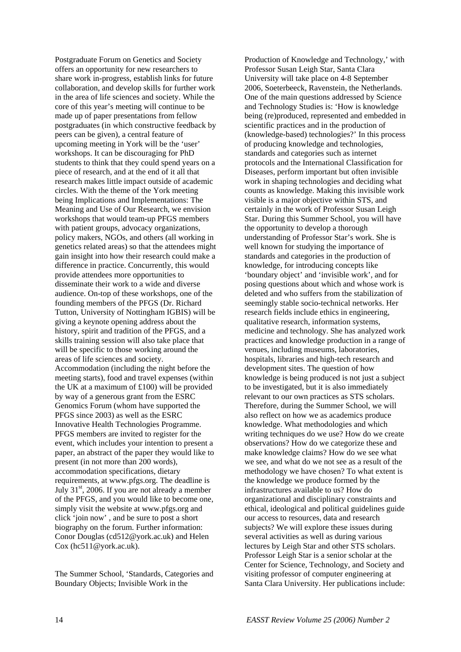Postgraduate Forum on Genetics and Society offers an opportunity for new researchers to share work in-progress, establish links for future collaboration, and develop skills for further work in the area of life sciences and society. While the core of this year's meeting will continue to be made up of paper presentations from fellow postgraduates (in which constructive feedback by peers can be given), a central feature of upcoming meeting in York will be the 'user' workshops. It can be discouraging for PhD students to think that they could spend years on a piece of research, and at the end of it all that research makes little impact outside of academic circles. With the theme of the York meeting being Implications and Implementations: The Meaning and Use of Our Research, we envision workshops that would team-up PFGS members with patient groups, advocacy organizations, policy makers, NGOs, and others (all working in genetics related areas) so that the attendees might gain insight into how their research could make a difference in practice. Concurrently, this would provide attendees more opportunities to disseminate their work to a wide and diverse audience. On-top of these workshops, one of the founding members of the PFGS (Dr. Richard Tutton, University of Nottingham IGBIS) will be giving a keynote opening address about the history, spirit and tradition of the PFGS, and a skills training session will also take place that will be specific to those working around the areas of life sciences and society. Accommodation (including the night before the meeting starts), food and travel expenses (within the UK at a maximum of £100) will be provided by way of a generous grant from the ESRC Genomics Forum (whom have supported the PFGS since 2003) as well as the ESRC Innovative Health Technologies Programme. PFGS members are invited to register for the event, which includes your intention to present a paper, an abstract of the paper they would like to present (in not more than 200 words), accommodation specifications, dietary requirements, at www.pfgs.org. The deadline is July  $31<sup>st</sup>$ , 2006. If you are not already a member of the PFGS, and you would like to become one, simply visit the website at www.pfgs.org and click 'join now' , and be sure to post a short biography on the forum. Further information: Conor Douglas (cd512@york.ac.uk) and Helen Cox (hc511@york.ac.uk).

The Summer School, 'Standards, Categories and Boundary Objects; Invisible Work in the

Production of Knowledge and Technology,' with Professor Susan Leigh Star, Santa Clara University will take place on 4-8 September 2006, Soeterbeeck, Ravenstein, the Netherlands. One of the main questions addressed by Science and Technology Studies is: 'How is knowledge being (re)produced, represented and embedded in scientific practices and in the production of (knowledge-based) technologies?' In this process of producing knowledge and technologies, standards and categories such as internet protocols and the International Classification for Diseases, perform important but often invisible work in shaping technologies and deciding what counts as knowledge. Making this invisible work visible is a major objective within STS, and certainly in the work of Professor Susan Leigh Star. During this Summer School, you will have the opportunity to develop a thorough understanding of Professor Star's work. She is well known for studying the importance of standards and categories in the production of knowledge, for introducing concepts like 'boundary object' and 'invisible work', and for posing questions about which and whose work is deleted and who suffers from the stabilization of seemingly stable socio-technical networks. Her research fields include ethics in engineering, qualitative research, information systems, medicine and technology. She has analyzed work practices and knowledge production in a range of venues, including museums, laboratories, hospitals, libraries and high-tech research and development sites. The question of how knowledge is being produced is not just a subject to be investigated, but it is also immediately relevant to our own practices as STS scholars. Therefore, during the Summer School, we will also reflect on how we as academics produce knowledge. What methodologies and which writing techniques do we use? How do we create observations? How do we categorize these and make knowledge claims? How do we see what we see, and what do we not see as a result of the methodology we have chosen? To what extent is the knowledge we produce formed by the infrastructures available to us? How do organizational and disciplinary constraints and ethical, ideological and political guidelines guide our access to resources, data and research subjects? We will explore these issues during several activities as well as during various lectures by Leigh Star and other STS scholars. Professor Leigh Star is a senior scholar at the Center for Science, Technology, and Society and visiting professor of computer engineering at Santa Clara University. Her publications include: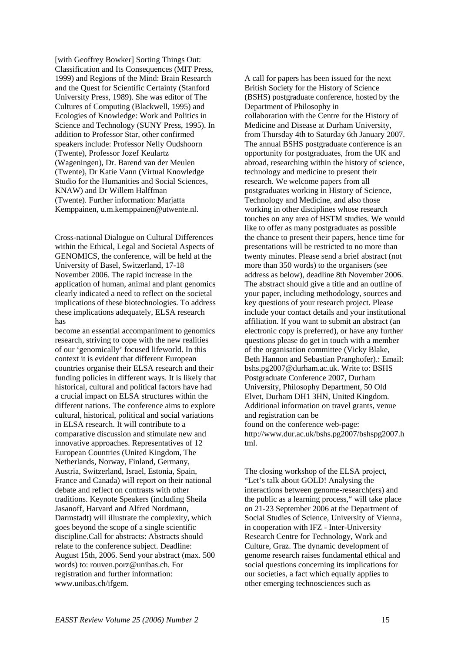[with Geoffrey Bowker] Sorting Things Out: Classification and Its Consequences (MIT Press, 1999) and Regions of the Mind: Brain Research and the Quest for Scientific Certainty (Stanford University Press, 1989). She was editor of The Cultures of Computing (Blackwell, 1995) and Ecologies of Knowledge: Work and Politics in Science and Technology (SUNY Press, 1995). In addition to Professor Star, other confirmed speakers include: Professor Nelly Oudshoorn (Twente), Professor Jozef Keulartz (Wageningen), Dr. Barend van der Meulen (Twente), Dr Katie Vann (Virtual Knowledge Studio for the Humanities and Social Sciences, KNAW) and Dr Willem Halffman (Twente). Further information: Marjatta Kemppainen, u.m.kemppainen@utwente.nl.

Cross-national Dialogue on Cultural Differences within the Ethical, Legal and Societal Aspects of GENOMICS, the conference, will be held at the University of Basel, Switzerland, 17-18 November 2006. The rapid increase in the application of human, animal and plant genomics clearly indicated a need to reflect on the societal implications of these biotechnologies. To address these implications adequately, ELSA research has

become an essential accompaniment to genomics research, striving to cope with the new realities of our 'genomically' focused lifeworld. In this context it is evident that different European countries organise their ELSA research and their funding policies in different ways. It is likely that historical, cultural and political factors have had a crucial impact on ELSA structures within the different nations. The conference aims to explore cultural, historical, political and social variations in ELSA research. It will contribute to a comparative discussion and stimulate new and innovative approaches. Representatives of 12 European Countries (United Kingdom, The Netherlands, Norway, Finland, Germany, Austria, Switzerland, Israel, Estonia, Spain, France and Canada) will report on their national debate and reflect on contrasts with other traditions. Keynote Speakers (including Sheila Jasanoff, Harvard and Alfred Nordmann, Darmstadt) will illustrate the complexity, which goes beyond the scope of a single scientific discipline.Call for abstracts: Abstracts should relate to the conference subject. Deadline: August 15th, 2006. Send your abstract (max. 500 words) to: [rouven.porz@unibas.ch.](mailto:rouven.porz@unibas.ch) For registration and further information: www.unibas.ch/ifgem.

A call for papers has been issued for the next British Society for the History of Science (BSHS) postgraduate conference, hosted by the Department of Philosophy in collaboration with the Centre for the History of Medicine and Disease at Durham University, from Thursday 4th to Saturday 6th January 2007. The annual BSHS postgraduate conference is an opportunity for postgraduates, from the UK and abroad, researching within the history of science, technology and medicine to present their research. We welcome papers from all postgraduates working in History of Science, Technology and Medicine, and also those working in other disciplines whose research touches on any area of HSTM studies. We would like to offer as many postgraduates as possible the chance to present their papers, hence time for presentations will be restricted to no more than twenty minutes. Please send a brief abstract (not more than 350 words) to the organisers (see address as below), deadline 8th November 2006. The abstract should give a title and an outline of your paper, including methodology, sources and key questions of your research project. Please include your contact details and your institutional affiliation. If you want to submit an abstract (an electronic copy is preferred), or have any further questions please do get in touch with a member of the organisation committee (Vicky Blake, Beth Hannon and Sebastian Pranghofer).: Email: bshs.pg2007@durham.ac.uk. Write to: BSHS Postgraduate Conference 2007, Durham University, Philosophy Department, 50 Old Elvet, Durham DH1 3HN, United Kingdom. Additional information on travel grants, venue and registration can be found on the conference web-page: http://www.dur.ac.uk/bshs.pg2007/bshspg2007.h tml.

The closing workshop of the ELSA project, "Let's talk about GOLD! Analysing the interactions between genome-research(ers) and the public as a learning process," will take place on 21-23 September 2006 at the Department of Social Studies of Science, University of Vienna, in cooperation with IFZ - Inter-University Research Centre for Technology, Work and Culture, Graz. The dynamic development of genome research raises fundamental ethical and social questions concerning its implications for our societies, a fact which equally applies to other emerging technosciences such as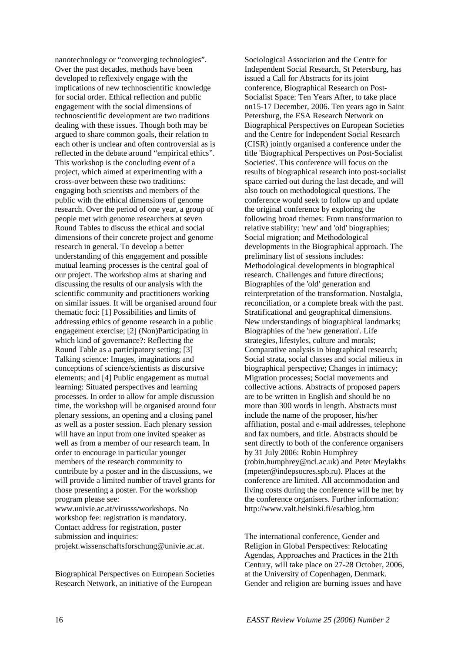nanotechnology or "converging technologies". Over the past decades, methods have been developed to reflexively engage with the implications of new technoscientific knowledge for social order. Ethical reflection and public engagement with the social dimensions of technoscientific development are two traditions dealing with these issues. Though both may be argued to share common goals, their relation to each other is unclear and often controversial as is reflected in the debate around "empirical ethics". This workshop is the concluding event of a project, which aimed at experimenting with a cross-over between these two traditions: engaging both scientists and members of the public with the ethical dimensions of genome research. Over the period of one year, a group of people met with genome researchers at seven Round Tables to discuss the ethical and social dimensions of their concrete project and genome research in general. To develop a better understanding of this engagement and possible mutual learning processes is the central goal of our project. The workshop aims at sharing and discussing the results of our analysis with the scientific community and practitioners working on similar issues. It will be organised around four thematic foci: [1] Possibilities and limits of addressing ethics of genome research in a public engagement exercise; [2] (Non)Participating in which kind of governance?: Reflecting the Round Table as a participatory setting; [3] Talking science: Images, imaginations and conceptions of science/scientists as discursive elements; and [4] Public engagement as mutual learning: Situated perspectives and learning processes. In order to allow for ample discussion time, the workshop will be organised around four plenary sessions, an opening and a closing panel as well as a poster session. Each plenary session will have an input from one invited speaker as well as from a member of our research team. In order to encourage in particular younger members of the research community to contribute by a poster and in the discussions, we will provide a limited number of travel grants for those presenting a poster. For the workshop program please see: www.univie.ac.at/virusss/workshops. No

workshop fee: registration is mandatory. Contact address for registration, poster submission and inquiries: projekt.wissenschaftsforschung@univie.ac.at.

Biographical Perspectives on European Societies Research Network, an initiative of the European

Sociological Association and the Centre for Independent Social Research, St Petersburg, has issued a Call for Abstracts for its joint conference, Biographical Research on Post-Socialist Space: Ten Years After, to take place on15-17 December, 2006. Ten years ago in Saint Petersburg, the ESA Research Network on Biographical Perspectives on European Societies and the Centre for Independent Social Research (CISR) jointly organised a conference under the title 'Biographical Perspectives on Post-Socialist Societies'. This conference will focus on the results of biographical research into post-socialist space carried out during the last decade, and will also touch on methodological questions. The conference would seek to follow up and update the original conference by exploring the following broad themes: From transformation to relative stability: 'new' and 'old' biographies; Social migration; and Methodological developments in the Biographical approach. The preliminary list of sessions includes: Methodological developments in biographical research. Challenges and future directions; Biographies of the 'old' generation and reinterpretation of the transformation. Nostalgia, reconciliation, or a complete break with the past. Stratificational and geographical dimensions. New understandings of biographical landmarks; Biographies of the 'new generation'. Life strategies, lifestyles, culture and morals; Comparative analysis in biographical research; Social strata, social classes and social milieux in biographical perspective; Changes in intimacy; Migration processes; Social movements and collective actions. Abstracts of proposed papers are to be written in English and should be no more than 300 words in length. Abstracts must include the name of the proposer, his/her affiliation, postal and e-mail addresses, telephone and fax numbers, and title. Abstracts should be sent directly to both of the conference organisers by 31 July 2006: Robin Humphrey (robin.humphrey@ncl.ac.uk) and Peter Meylakhs (mpeter@indepsocres.spb.ru). Places at the conference are limited. All accommodation and living costs during the conference will be met by the conference organisers. Further information: http://www.valt.helsinki.fi/esa/biog.htm

The international conference, Gender and Religion in Global Perspectives: Relocating Agendas, Approaches and Practices in the 21th Century, will take place on 27-28 October, 2006, at the University of Copenhagen, Denmark. Gender and religion are burning issues and have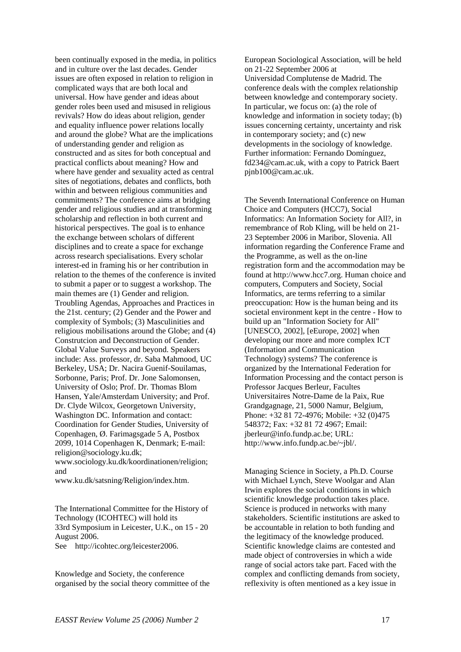been continually exposed in the media, in politics and in culture over the last decades. Gender issues are often exposed in relation to religion in complicated ways that are both local and universal. How have gender and ideas about gender roles been used and misused in religious revivals? How do ideas about religion, gender and equality influence power relations locally and around the globe? What are the implications of understanding gender and religion as constructed and as sites for both conceptual and practical conflicts about meaning? How and where have gender and sexuality acted as central sites of negotiations, debates and conflicts, both within and between religious communities and commitments? The conference aims at bridging gender and religious studies and at transforming scholarship and reflection in both current and historical perspectives. The goal is to enhance the exchange between scholars of different disciplines and to create a space for exchange across research specialisations. Every scholar interest-ed in framing his or her contribution in relation to the themes of the conference is invited to submit a paper or to suggest a workshop. The main themes are (1) Gender and religion. Troubling Agendas, Approaches and Practices in the 21st. century; (2) Gender and the Power and complexity of Symbols; (3) Masculinities and religious mobilisations around the Globe; and (4) Construtcion and Deconstruction of Gender. Global Value Surveys and beyond. Speakers include: Ass. professor, dr. Saba Mahmood, UC Berkeley, USA; Dr. Nacira Guenif-Souilamas, Sorbonne, Paris; Prof. Dr. Jone Salomonsen, University of Oslo; Prof. Dr. Thomas Blom Hansen, Yale/Amsterdam University; and Prof. Dr. Clyde Wilcox, Georgetown University, Washington DC. Information and contact: Coordination for Gender Studies, University of Copenhagen, Ø. Farimagsgade 5 A, Postbox 2099, 1014 Copenhagen K, Denmark; E-mail: [religion@sociology.ku.dk](mailto:religion@sociology.ku.dk);

[www.sociology.ku.dk/koordinationen/religion](http://www.sociology.ku.dk/koordinationen/religion); and

[www.ku.dk/satsning/Religion/index.htm](http://www.ku.dk/satsning/Religion/index.htm).

The International Committee for the History of Technology (ICOHTEC) will hold its 33rd Symposium in Leicester, U.K., on 15 - 20 August 2006. See http://icohtec.org/leicester2006.

Knowledge and Society, the conference organised by the social theory committee of the European Sociological Association, will be held on 21-22 September 2006 at Universidad Complutense de Madrid. The conference deals with the complex relationship between knowledge and contemporary society. In particular, we focus on: (a) the role of knowledge and information in society today; (b) issues concerning certainty, uncertainty and risk in contemporary society; and (c) new developments in the sociology of knowledge. Further information: Fernando Domínguez, fd234@cam.ac.uk, with a copy to Patrick Baert pjnb100@cam.ac.uk.

The Seventh International Conference on Human Choice and Computers (HCC7), Social Informatics: An Information Society for All?, in remembrance of Rob Kling, will be held on 21- 23 September 2006 in Maribor, Slovenia. All information regarding the Conference Frame and the Programme, as well as the on-line registration form and the accommodation may be found at [http://www.hcc7.org.](http://www.hcc7.org) Human choice and computers, Computers and Society, Social Informatics, are terms referring to a similar preoccupation: How is the human being and its societal environment kept in the centre - How to build up an "Information Society for All" [UNESCO, 2002], [eEurope, 2002] when developing our more and more complex ICT (Information and Communication Technology) systems? The conference is organized by the International Federation for Information Processing and the contact person is Professor Jacques Berleur, Facultes Universitaires Notre-Dame de la Paix, Rue Grandgagnage, 21, 5000 Namur, Belgium, Phone: +32 81 72-4976; Mobile: +32 (0)475 548372; Fax: +32 81 72 4967; Email: [jberleur@info.fundp.ac.be](mailto:jberleur@info.fundp.ac.be); URL: [http://www.info.fundp.ac.be/~jbl/](http://www.info.fundp.ac.be/%7Ejbl/).

Managing Science in Society, a Ph.D. Course with Michael Lynch, Steve Woolgar and Alan Irwin explores the social conditions in which scientific knowledge production takes place. Science is produced in networks with many stakeholders. Scientific institutions are asked to be accountable in relation to both funding and the legitimacy of the knowledge produced. Scientific knowledge claims are contested and made object of controversies in which a wide range of social actors take part. Faced with the complex and conflicting demands from society, reflexivity is often mentioned as a key issue in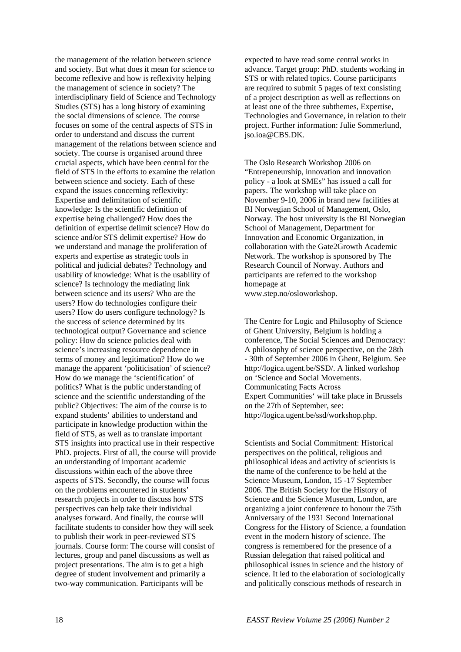the management of the relation between science and society. But what does it mean for science to become reflexive and how is reflexivity helping the management of science in society? The interdisciplinary field of Science and Technology Studies (STS) has a long history of examining the social dimensions of science. The course focuses on some of the central aspects of STS in order to understand and discuss the current management of the relations between science and society. The course is organised around three crucial aspects, which have been central for the field of STS in the efforts to examine the relation between science and society. Each of these expand the issues concerning reflexivity: Expertise and delimitation of scientific knowledge: Is the scientific definition of expertise being challenged? How does the definition of expertise delimit science? How do science and/or STS delimit expertise? How do we understand and manage the proliferation of experts and expertise as strategic tools in political and judicial debates? Technology and usability of knowledge: What is the usability of science? Is technology the mediating link between science and its users? Who are the users? How do technologies configure their users? How do users configure technology? Is the success of science determined by its technological output? Governance and science policy: How do science policies deal with science's increasing resource dependence in terms of money and legitimation? How do we manage the apparent 'politicisation' of science? How do we manage the 'scientification' of politics? What is the public understanding of science and the scientific understanding of the public? Objectives: The aim of the course is to expand students' abilities to understand and participate in knowledge production within the field of STS, as well as to translate important STS insights into practical use in their respective PhD. projects. First of all, the course will provide an understanding of important academic discussions within each of the above three aspects of STS. Secondly, the course will focus on the problems encountered in students' research projects in order to discuss how STS perspectives can help take their individual analyses forward. And finally, the course will facilitate students to consider how they will seek to publish their work in peer-reviewed STS journals. Course form: The course will consist of lectures, group and panel discussions as well as project presentations. The aim is to get a high degree of student involvement and primarily a two-way communication. Participants will be

expected to have read some central works in advance. Target group: PhD. students working in STS or with related topics. Course participants are required to submit 5 pages of text consisting of a project description as well as reflections on at least one of the three subthemes, Expertise, Technologies and Governance, in relation to their project. Further information: Julie Sommerlund, jso.ioa@CBS.DK.

The Oslo Research Workshop 2006 on "Entrepeneurship, innovation and innovation policy - a look at SMEs" has issued a call for papers. The workshop will take place on November 9-10, 2006 in brand new facilities at BI Norwegian School of Management, Oslo, Norway. The host university is the BI Norwegian School of Management, Department for Innovation and Economic Organization, in collaboration with the Gate2Growth Academic Network. The workshop is sponsored by The Research Council of Norway. Authors and participants are referred to the workshop homepage at www.step.no/osloworkshop.

The Centre for Logic and Philosophy of Science of Ghent University, Belgium is holding a conference, The Social Sciences and Democracy: A philosophy of science perspective, on the 28th - 30th of September 2006 in Ghent, Belgium. See http://logica.ugent.be/SSD/. A linked workshop on 'Science and Social Movements. Communicating Facts Across Expert Communities' will take place in Brussels on the 27th of September, see: http://logica.ugent.be/ssd/workshop.php.

Scientists and Social Commitment: Historical perspectives on the political, religious and philosophical ideas and activity of scientists is the name of the conference to be held at the Science Museum, London, 15 -17 September 2006. The British Society for the History of Science and the Science Museum, London, are organizing a joint conference to honour the 75th Anniversary of the 1931 Second International Congress for the History of Science, a foundation event in the modern history of science. The congress is remembered for the presence of a Russian delegation that raised political and philosophical issues in science and the history of science. It led to the elaboration of sociologically and politically conscious methods of research in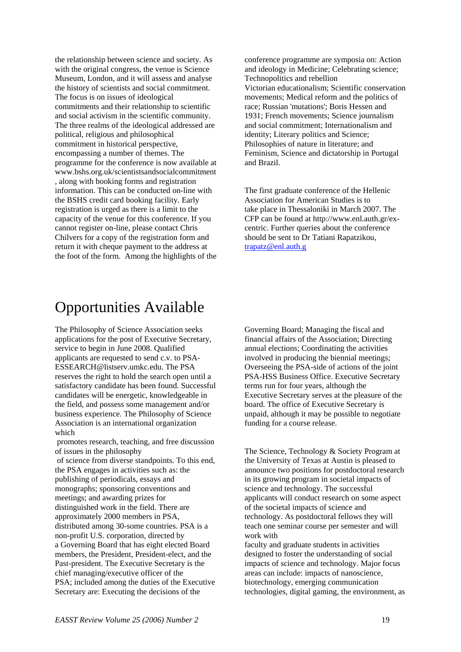the relationship between science and society. As with the original congress, the venue is Science Museum, London, and it will assess and analyse the history of scientists and social commitment. The focus is on issues of ideological commitments and their relationship to scientific and social activism in the scientific community. The three realms of the ideological addressed are political, religious and philosophical commitment in historical perspective, encompassing a number of themes. The programme for the conference is now available at www.bshs.org.uk/scientistsandsocialcommitment , along with booking forms and registration information. This can be conducted on-line with the BSHS credit card booking facility. Early registration is urged as there is a limit to the capacity of the venue for this conference. If you cannot register on-line, please contact Chris Chilvers for a copy of the registration form and return it with cheque payment to the address at the foot of the form. Among the highlights of the conference programme are symposia on: Action and ideology in Medicine; Celebrating science; Technopolitics and rebellion Victorian educationalism; Scientific conservation movements; Medical reform and the politics of race; Russian 'mutations'; Boris Hessen and 1931; French movements; Science journalism and social commitment; Internationalism and identity; Literary politics and Science; Philosophies of nature in literature; and Feminism, Science and dictatorship in Portugal and Brazil.

The first graduate conference of the Hellenic Association for American Studies is to take place in Thessaloniki in March 2007. The CFP can be found at http://www.enl.auth.gr/excentric. Further queries about the conference should be sent to Dr Tatiani Rapatzikou, [trapatz@enl.auth.g](mailto:trapatz@enl.auth.g)

### Opportunities Available

The Philosophy of Science Association seeks applications for the post of Executive Secretary, service to begin in June 2008. Qualified applicants are requested to send c.v. to PSA-ESSEARCH@listserv.umkc.edu. The PSA reserves the right to hold the search open until a satisfactory candidate has been found. Successful candidates will be energetic, knowledgeable in the field, and possess some management and/or business experience. The Philosophy of Science Association is an international organization which

 promotes research, teaching, and free discussion of issues in the philosophy

 of science from diverse standpoints. To this end, the PSA engages in activities such as: the publishing of periodicals, essays and monographs; sponsoring conventions and meetings; and awarding prizes for distinguished work in the field. There are approximately 2000 members in PSA, distributed among 30-some countries. PSA is a non-profit U.S. corporation, directed by a Governing Board that has eight elected Board members, the President, President-elect, and the Past-president. The Executive Secretary is the chief managing/executive officer of the PSA; included among the duties of the Executive Secretary are: Executing the decisions of the

Governing Board; Managing the fiscal and financial affairs of the Association; Directing annual elections; Coordinating the activities involved in producing the biennial meetings; Overseeing the PSA-side of actions of the joint PSA-HSS Business Office. Executive Secretary terms run for four years, although the Executive Secretary serves at the pleasure of the board. The office of Executive Secretary is unpaid, although it may be possible to negotiate funding for a course release.

The Science, Technology & Society Program at the University of Texas at Austin is pleased to announce two positions for postdoctoral research in its growing program in societal impacts of science and technology. The successful applicants will conduct research on some aspect of the societal impacts of science and technology. As postdoctoral fellows they will teach one seminar course per semester and will work with

faculty and graduate students in activities designed to foster the understanding of social impacts of science and technology. Major focus areas can include: impacts of nanoscience, biotechnology, emerging communication technologies, digital gaming, the environment, as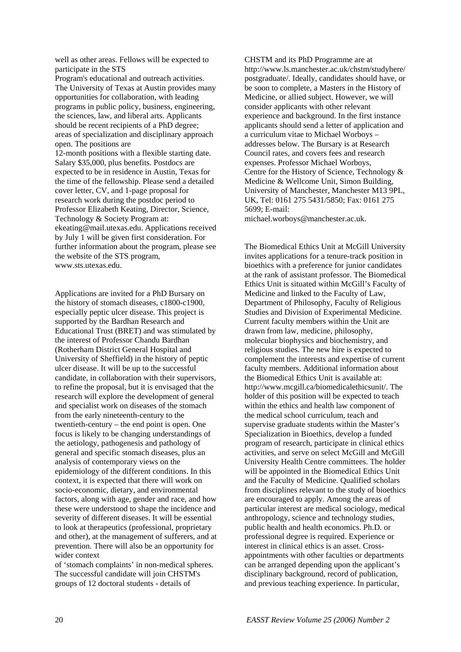well as other areas. Fellows will be expected to participate in the STS

Program's educational and outreach activities. The University of Texas at Austin provides many opportunities for collaboration, with leading programs in public policy, business, engineering, the sciences, law, and liberal arts. Applicants should be recent recipients of a PhD degree; areas of specialization and disciplinary approach open. The positions are

12-month positions with a flexible starting date. Salary \$35,000, plus benefits. Postdocs are expected to be in residence in Austin, Texas for the time of the fellowship. Please send a detailed cover letter, CV, and 1-page proposal for research work during the postdoc period to Professor Elizabeth Keating, Director, Science, Technology & Society Program at: ekeating@mail.utexas.edu. Applications received by July 1 will be given first consideration. For further information about the program, please see the website of the STS program, www.sts.utexas.edu.

Applications are invited for a PhD Bursary on the history of stomach diseases, c1800-c1900, especially peptic ulcer disease. This project is supported by the Bardhan Research and Educational Trust (BRET) and was stimulated by the interest of Professor Chandu Bardhan (Rotherham District General Hospital and University of Sheffield) in the history of peptic ulcer disease. It will be up to the successful candidate, in collaboration with their supervisors, to refine the proposal, but it is envisaged that the research will explore the development of general and specialist work on diseases of the stomach from the early nineteenth-century to the twentieth-century – the end point is open. One focus is likely to be changing understandings of the aetiology, pathogenesis and pathology of general and specific stomach diseases, plus an analysis of contemporary views on the epidemiology of the different conditions. In this context, it is expected that there will work on socio-economic, dietary, and environmental factors, along with age, gender and race, and how these were understood to shape the incidence and severity of different diseases. It will be essential to look at therapeutics (professional, proprietary and other), at the management of sufferers, and at prevention. There will also be an opportunity for wider context

of 'stomach complaints' in non-medical spheres. The successful candidate will join CHSTM's groups of 12 doctoral students - details of

CHSTM and its PhD Programme are at http://www.ls.manchester.ac.uk/chstm/studyhere/ postgraduate/. Ideally, candidates should have, or be soon to complete, a Masters in the History of Medicine, or allied subject. However, we will consider applicants with other relevant experience and background. In the first instance applicants should send a letter of application and a curriculum vitae to Michael Worboys – addresses below. The Bursary is at Research Council rates, and covers fees and research expenses. Professor Michael Worboys, Centre for the History of Science, Technology & Medicine & Wellcome Unit, Simon Building, University of Manchester, Manchester M13 9PL, UK, Tel: 0161 275 5431/5850; Fax: 0161 275 5699; E-mail:

michael.worboys@manchester.ac.uk.

The Biomedical Ethics Unit at McGill University invites applications for a tenure-track position in bioethics with a preference for junior candidates at the rank of assistant professor. The Biomedical Ethics Unit is situated within McGill's Faculty of Medicine and linked to the Faculty of Law, Department of Philosophy, Faculty of Religious Studies and Division of Experimental Medicine. Current faculty members within the Unit are drawn from law, medicine, philosophy, molecular biophysics and biochemistry, and religious studies. The new hire is expected to complement the interests and expertise of current faculty members. Additional information about the Biomedical Ethics Unit is available at: <http://www.mcgill.ca/biomedicalethicsunit/>. The holder of this position will be expected to teach within the ethics and health law component of the medical school curriculum, teach and supervise graduate students within the Master's Specialization in Bioethics, develop a funded program of research, participate in clinical ethics activities, and serve on select McGill and McGill University Health Centre committees. The holder will be appointed in the Biomedical Ethics Unit and the Faculty of Medicine. Qualified scholars from disciplines relevant to the study of bioethics are encouraged to apply. Among the areas of particular interest are medical sociology, medical anthropology, science and technology studies, public health and health economics. Ph.D. or professional degree is required. Experience or interest in clinical ethics is an asset. Crossappointments with other faculties or departments can be arranged depending upon the applicant's disciplinary background, record of publication, and previous teaching experience. In particular,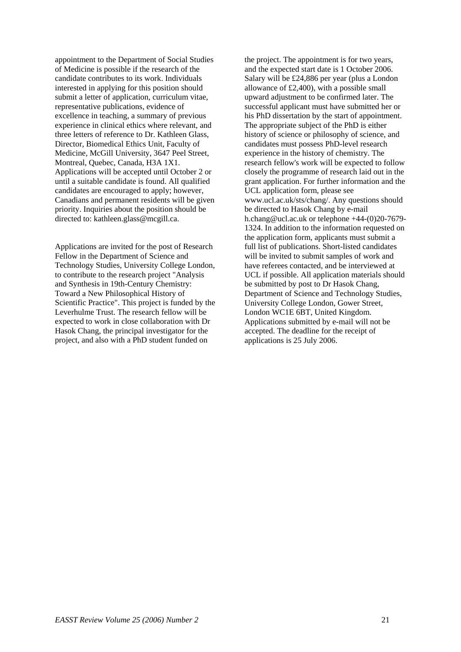appointment to the Department of Social Studies of Medicine is possible if the research of the candidate contributes to its work. Individuals interested in applying for this position should submit a letter of application, curriculum vitae, representative publications, evidence of excellence in teaching, a summary of previous experience in clinical ethics where relevant, and three letters of reference to Dr. Kathleen Glass, Director, Biomedical Ethics Unit, Faculty of Medicine, McGill University, 3647 Peel Street, Montreal, Quebec, Canada, H3A 1X1. Applications will be accepted until October 2 or until a suitable candidate is found. All qualified candidates are encouraged to apply; however, Canadians and permanent residents will be given priority. Inquiries about the position should be directed to: [kathleen.glass@mcgill.ca.](mailto:kathleen.glass@mcgill.ca)

Applications are invited for the post of Research Fellow in the Department of Science and Technology Studies, University College London, to contribute to the research project "Analysis and Synthesis in 19th-Century Chemistry: Toward a New Philosophical History of Scientific Practice". This project is funded by the Leverhulme Trust. The research fellow will be expected to work in close collaboration with Dr Hasok Chang, the principal investigator for the project, and also with a PhD student funded on

the project. The appointment is for two years, and the expected start date is 1 October 2006. Salary will be £24,886 per year (plus a London allowance of £2,400), with a possible small upward adjustment to be confirmed later. The successful applicant must have submitted her or his PhD dissertation by the start of appointment. The appropriate subject of the PhD is either history of science or philosophy of science, and candidates must possess PhD-level research experience in the history of chemistry. The research fellow's work will be expected to follow closely the programme of research laid out in the grant application. For further information and the UCL application form, please see www.ucl.ac.uk/sts/chang/. Any questions should be directed to Hasok Chang by e-mail h.chang@ucl.ac.uk or telephone +44-(0)20-7679- 1324. In addition to the information requested on the application form, applicants must submit a full list of publications. Short-listed candidates will be invited to submit samples of work and have referees contacted, and be interviewed at UCL if possible. All application materials should be submitted by post to Dr Hasok Chang, Department of Science and Technology Studies, University College London, Gower Street, London WC1E 6BT, United Kingdom. Applications submitted by e-mail will not be accepted. The deadline for the receipt of applications is 25 July 2006.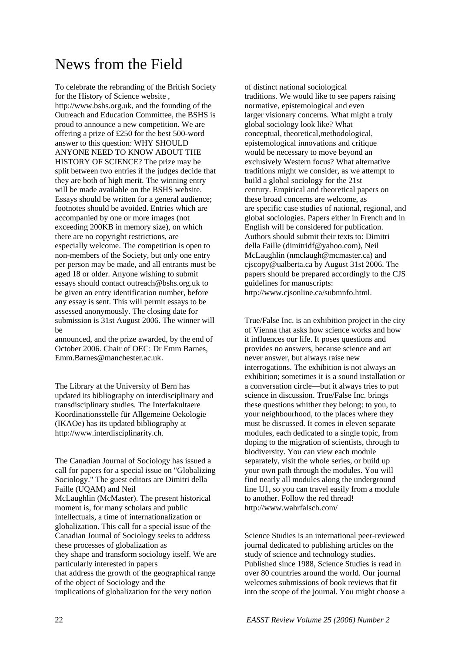## News from the Field

To celebrate the rebranding of the British Society for the History of Science website , [http://www.bshs.org.uk,](http://www.bshs.org.uk) and the founding of the Outreach and Education Committee, the BSHS is proud to announce a new competition. We are offering a prize of £250 for the best 500-word answer to this question: WHY SHOULD ANYONE NEED TO KNOW ABOUT THE HISTORY OF SCIENCE? The prize may be split between two entries if the judges decide that they are both of high merit. The winning entry will be made available on the BSHS website. Essays should be written for a general audience; footnotes should be avoided. Entries which are accompanied by one or more images (not exceeding 200KB in memory size), on which there are no copyright restrictions, are especially welcome. The competition is open to non-members of the Society, but only one entry per person may be made, and all entrants must be aged 18 or older. Anyone wishing to submit essays should contact [outreach@bshs.org.uk](mailto:outreach@bshs.org.uk) to be given an entry identification number, before any essay is sent. This will permit essays to be assessed anonymously. The closing date for submission is 31st August 2006. The winner will be

announced, and the prize awarded, by the end of October 2006. Chair of OEC: Dr Emm Barnes, [Emm.Barnes@manchester.ac.uk](mailto:Emm.Barnes@manchester.ac.uk).

The Library at the University of Bern has updated its bibliography on interdisciplinary and transdisciplinary studies. The Interfakultaere Koordinationsstelle für Allgemeine Oekologie (IKAOe) has its updated bibliography at http://www.interdisciplinarity.ch.

The Canadian Journal of Sociology has issued a call for papers for a special issue on "Globalizing Sociology." The guest editors are Dimitri della Faille (UQAM) and Neil McLaughlin (McMaster). The present historical moment is, for many scholars and public intellectuals, a time of internationalization or globalization. This call for a special issue of the Canadian Journal of Sociology seeks to address these processes of globalization as they shape and transform sociology itself. We are particularly interested in papers that address the growth of the geographical range of the object of Sociology and the implications of globalization for the very notion

of distinct national sociological traditions. We would like to see papers raising normative, epistemological and even larger visionary concerns. What might a truly global sociology look like? What conceptual, theoretical,methodological, epistemological innovations and critique would be necessary to move beyond an exclusively Western focus? What alternative traditions might we consider, as we attempt to build a global sociology for the 21st century. Empirical and theoretical papers on these broad concerns are welcome, as are specific case studies of national, regional, and global sociologies. Papers either in French and in English will be considered for publication. Authors should submit their texts to: Dimitri della Faille (dimitridf@yahoo.com), Neil McLaughlin (nmclaugh@mcmaster.ca) and cjscopy@ualberta.ca by August 31st 2006. The papers should be prepared accordingly to the CJS guidelines for manuscripts: http://www.cjsonline.ca/submnfo.html.

True/False Inc. is an exhibition project in the city of Vienna that asks how science works and how it influences our life. It poses questions and provides no answers, because science and art never answer, but always raise new interrogations. The exhibition is not always an exhibition; sometimes it is a sound installation or a conversation circle—but it always tries to put science in discussion. True/False Inc. brings these questions whither they belong: to you, to your neighbourhood, to the places where they must be discussed. It comes in eleven separate modules, each dedicated to a single topic, from doping to the migration of scientists, through to biodiversity. You can view each module separately, visit the whole series, or build up your own path through the modules. You will find nearly all modules along the underground line U1, so you can travel easily from a module to another. Follow the red thread! http://www.wahrfalsch.com/

Science Studies is an international peer-reviewed journal dedicated to publishing articles on the study of science and technology studies. Published since 1988, Science Studies is read in over 80 countries around the world. Our journal welcomes submissions of book reviews that fit into the scope of the journal. You might choose a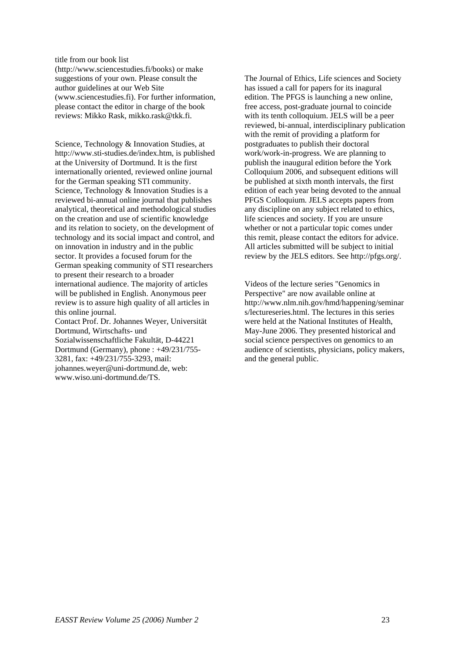title from our book list

(http://www.sciencestudies.fi/books) or make suggestions of your own. Please consult the author guidelines at our Web Site (www.sciencestudies.fi). For further information, please contact the editor in charge of the book reviews: Mikko Rask, mikko.rask@tkk.fi.

Science, Technology & Innovation Studies, at [http://www.sti-studies.de/index.htm,](http://www.sti-studies.de/index.htm) is published at the University of Dortmund. It is the first internationally oriented, reviewed online journal for the German speaking STI community. Science, Technology & Innovation Studies is a reviewed bi-annual online journal that publishes analytical, theoretical and methodological studies on the creation and use of scientific knowledge and its relation to society, on the development of technology and its social impact and control, and on innovation in industry and in the public sector. It provides a focused forum for the German speaking community of STI researchers to present their research to a broader international audience. The majority of articles will be published in English. Anonymous peer review is to assure high quality of all articles in this online journal. Contact Prof. Dr. Johannes Weyer, Universität Dortmund, Wirtschafts- und Sozialwissenschaftliche Fakultät, D-44221 Dortmund (Germany), phone : +49/231/755- 3281, fax: +49/231/755-3293, mail: [johannes.weyer@uni-dortmund.de,](mailto:johannes.weyer@uni-dortmund.de) web:

[www.wiso.uni-dortmund.de/TS](http://www.wiso.uni-dortmund.de/TS).

The Journal of Ethics, Life sciences and Society has issued a call for papers for its inagural edition. The PFGS is launching a new online, free access, post-graduate journal to coincide with its tenth colloquium. JELS will be a peer reviewed, bi-annual, interdisciplinary publication with the remit of providing a platform for postgraduates to publish their doctoral work/work-in-progress. We are planning to publish the inaugural edition before the York Colloquium 2006, and subsequent editions will be published at sixth month intervals, the first edition of each year being devoted to the annual PFGS Colloquium. JELS accepts papers from any discipline on any subject related to ethics, life sciences and society. If you are unsure whether or not a particular topic comes under this remit, please contact the editors for advice. All articles submitted will be subject to initial review by the JELS editors. See http://pfgs.org/.

Videos of the lecture series "Genomics in Perspective" are now available online at http://www.nlm.nih.gov/hmd/happening/seminar s/lectureseries.html. The lectures in this series were held at the National Institutes of Health, May-June 2006. They presented historical and social science perspectives on genomics to an audience of scientists, physicians, policy makers, and the general public.